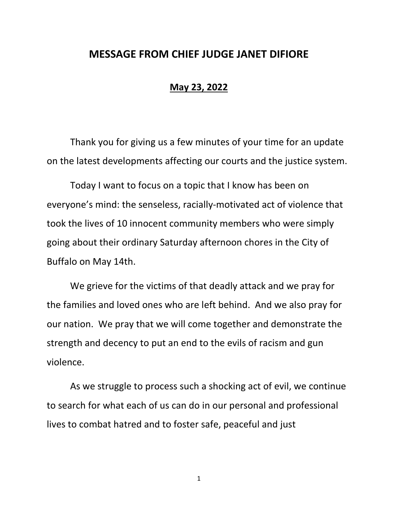## **MESSAGE FROM CHIEF JUDGE JANET DIFIORE**

## **May 23, 2022**

Thank you for giving us a few minutes of your time for an update on the latest developments affecting our courts and the justice system.

Today I want to focus on a topic that I know has been on everyone's mind: the senseless, racially-motivated act of violence that took the lives of 10 innocent community members who were simply going about their ordinary Saturday afternoon chores in the City of Buffalo on May 14th.

We grieve for the victims of that deadly attack and we pray for the families and loved ones who are left behind. And we also pray for our nation. We pray that we will come together and demonstrate the strength and decency to put an end to the evils of racism and gun violence.

As we struggle to process such a shocking act of evil, we continue to search for what each of us can do in our personal and professional lives to combat hatred and to foster safe, peaceful and just

1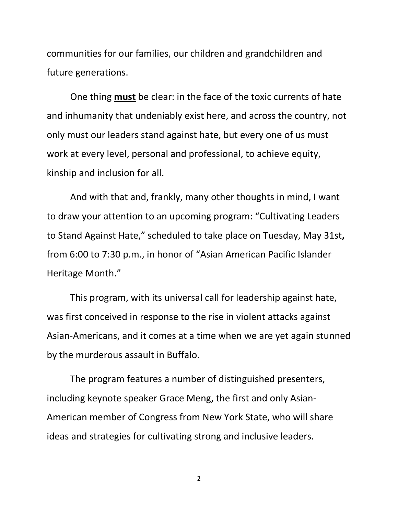communities for our families, our children and grandchildren and future generations.

One thing **must** be clear: in the face of the toxic currents of hate and inhumanity that undeniably exist here, and across the country, not only must our leaders stand against hate, but every one of us must work at every level, personal and professional, to achieve equity, kinship and inclusion for all.

And with that and, frankly, many other thoughts in mind, I want to draw your attention to an upcoming program: "Cultivating Leaders to Stand Against Hate," scheduled to take place on Tuesday, May 31st**,** from 6:00 to 7:30 p.m., in honor of "Asian American Pacific Islander Heritage Month."

This program, with its universal call for leadership against hate, was first conceived in response to the rise in violent attacks against Asian-Americans, and it comes at a time when we are yet again stunned by the murderous assault in Buffalo.

The program features a number of distinguished presenters, including keynote speaker Grace Meng, the first and only Asian-American member of Congress from New York State, who will share ideas and strategies for cultivating strong and inclusive leaders.

2